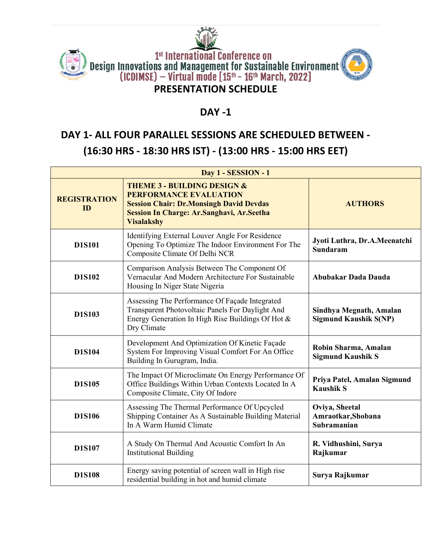

### DAY -1

## DAY 1- ALL FOUR PARALLEL SESSIONS ARE SCHEDULED BETWEEN - (16:30 HRS - 18:30 HRS IST) - (13:00 HRS - 15:00 HRS EET)

| Day 1 - SESSION - 1       |                                                                                                                                                                                                    |                                                         |
|---------------------------|----------------------------------------------------------------------------------------------------------------------------------------------------------------------------------------------------|---------------------------------------------------------|
| <b>REGISTRATION</b><br>ID | <b>THEME 3 - BUILDING DESIGN &amp;</b><br><b>PERFORMANCE EVALUATION</b><br><b>Session Chair: Dr.Monsingh David Devdas</b><br><b>Session In Charge: Ar.Sanghavi, Ar.Seetha</b><br><b>Visalakshy</b> | <b>AUTHORS</b>                                          |
| <b>D1S101</b>             | Identifying External Louver Angle For Residence<br>Opening To Optimize The Indoor Environment For The<br>Composite Climate Of Delhi NCR                                                            | Jyoti Luthra, Dr.A.Meenatchi<br>Sundaram                |
| <b>D1S102</b>             | Comparison Analysis Between The Component Of<br>Vernacular And Modern Architecture For Sustainable<br>Housing In Niger State Nigeria                                                               | Abubakar Dada Dauda                                     |
| <b>D1S103</b>             | Assessing The Performance Of Façade Integrated<br>Transparent Photovoltaic Panels For Daylight And<br>Energy Generation In High Rise Buildings Of Hot &<br>Dry Climate                             | Sindhya Megnath, Amalan<br><b>Sigmund Kaushik S(NP)</b> |
| <b>D1S104</b>             | Development And Optimization Of Kinetic Façade<br>System For Improving Visual Comfort For An Office<br>Building In Gurugram, India.                                                                | Robin Sharma, Amalan<br><b>Sigmund Kaushik S</b>        |
| <b>D1S105</b>             | The Impact Of Microclimate On Energy Performance Of<br>Office Buildings Within Urban Contexts Located In A<br>Composite Climate, City Of Indore                                                    | Priya Patel, Amalan Sigmund<br><b>Kaushik S</b>         |
| <b>D1S106</b>             | Assessing The Thermal Performance Of Upcycled<br>Shipping Container As A Sustainable Building Material<br>In A Warm Humid Climate                                                                  | Oviya, Sheetal<br>Amraotkar, Shobana<br>Subramanian     |
| <b>D1S107</b>             | A Study On Thermal And Acoustic Comfort In An<br><b>Institutional Building</b>                                                                                                                     | R. Vidhushini, Surya<br>Rajkumar                        |
| <b>D1S108</b>             | Energy saving potential of screen wall in High rise<br>residential building in hot and humid climate                                                                                               | Surya Rajkumar                                          |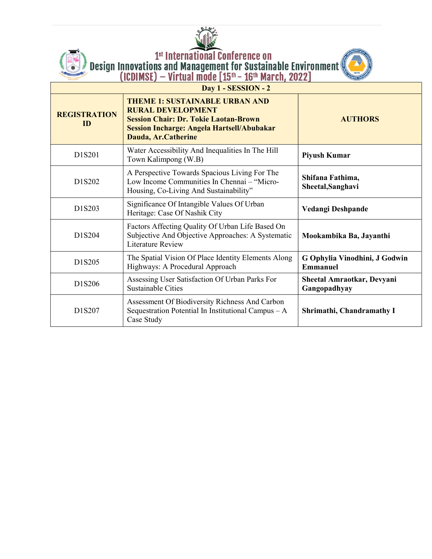

(ES

**1st International Conference on**<br>**Design Innovations and Management for Sustainable Environment (ICDIMSE)** – Virtual mode  $[15^{th} - 16^{th}$  March, 2022]



|                     |                           | (IUDIMOL <i>)</i><br><b>THE CONTROVERT OF STATE OF STATES</b>                                                                                                                                 | $\sim$                                           |
|---------------------|---------------------------|-----------------------------------------------------------------------------------------------------------------------------------------------------------------------------------------------|--------------------------------------------------|
| Day 1 - SESSION - 2 |                           |                                                                                                                                                                                               |                                                  |
|                     | <b>REGISTRATION</b><br>ID | <b>THEME 1: SUSTAINABLE URBAN AND</b><br><b>RURAL DEVELOPMENT</b><br><b>Session Chair: Dr. Tokie Laotan-Brown</b><br><b>Session Incharge: Angela Hartsell/Abubakar</b><br>Dauda, Ar.Catherine | <b>AUTHORS</b>                                   |
|                     | D1S201                    | Water Accessibility And Inequalities In The Hill<br>Town Kalimpong (W.B)                                                                                                                      | <b>Piyush Kumar</b>                              |
|                     | D1S202                    | A Perspective Towards Spacious Living For The<br>Low Income Communities In Chennai - "Micro-<br>Housing, Co-Living And Sustainability"                                                        | Shifana Fathima,<br>Sheetal, Sanghavi            |
|                     | D1S203                    | Significance Of Intangible Values Of Urban<br>Heritage: Case Of Nashik City                                                                                                                   | Vedangi Deshpande                                |
|                     | D1S204                    | Factors Affecting Quality Of Urban Life Based On<br>Subjective And Objective Approaches: A Systematic<br><b>Literature Review</b>                                                             | Mookambika Ba, Jayanthi                          |
|                     | D1S205                    | The Spatial Vision Of Place Identity Elements Along<br>Highways: A Procedural Approach                                                                                                        | G Ophylia Vinodhini, J Godwin<br><b>Emmanuel</b> |
|                     | D1S206                    | Assessing User Satisfaction Of Urban Parks For<br><b>Sustainable Cities</b>                                                                                                                   | Sheetal Amraotkar, Devyani<br>Gangopadhyay       |
|                     | D1S207                    | Assessment Of Biodiversity Richness And Carbon<br>Sequestration Potential In Institutional Campus - A<br>Case Study                                                                           | Shrimathi, Chandramathy I                        |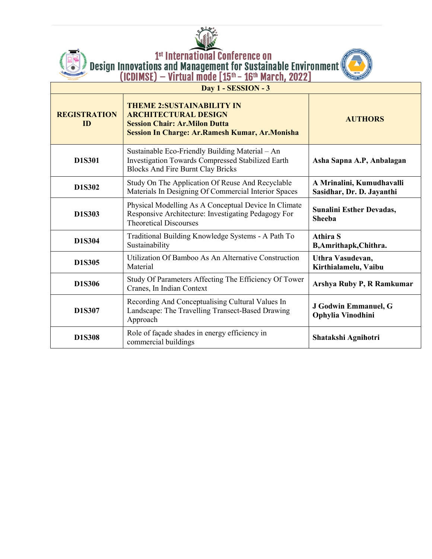

1<sup>st</sup> International Conference on<br>Design Innovations and Management for Sustainable Environment (ICDIMSE) – Virtual mode [15<sup>th</sup> – 16<sup>th</sup> March, 2022]



| Day 1 - SESSION - 3       |                                                                                                                                                                   |                                                        |
|---------------------------|-------------------------------------------------------------------------------------------------------------------------------------------------------------------|--------------------------------------------------------|
| <b>REGISTRATION</b><br>ID | <b>THEME 2:SUSTAINABILITY IN</b><br><b>ARCHITECTURAL DESIGN</b><br><b>Session Chair: Ar. Milon Dutta</b><br><b>Session In Charge: Ar.Ramesh Kumar, Ar.Monisha</b> | <b>AUTHORS</b>                                         |
| <b>D1S301</b>             | Sustainable Eco-Friendly Building Material - An<br>Investigation Towards Compressed Stabilized Earth<br><b>Blocks And Fire Burnt Clay Bricks</b>                  | Asha Sapna A.P, Anbalagan                              |
| D1S302                    | Study On The Application Of Reuse And Recyclable<br>Materials In Designing Of Commercial Interior Spaces                                                          | A Mrinalini, Kumudhavalli<br>Sasidhar, Dr. D. Jayanthi |
| <b>D1S303</b>             | Physical Modelling As A Conceptual Device In Climate<br>Responsive Architecture: Investigating Pedagogy For<br><b>Theoretical Discourses</b>                      | Sunalini Esther Devadas,<br><b>Sheeba</b>              |
| D1S304                    | Traditional Building Knowledge Systems - A Path To<br>Sustainability                                                                                              | <b>Athira S</b><br>B, Amrithapk, Chithra.              |
| <b>D1S305</b>             | Utilization Of Bamboo As An Alternative Construction<br>Material                                                                                                  | Uthra Vasudevan,<br>Kirthialamelu, Vaibu               |
| D1S306                    | Study Of Parameters Affecting The Efficiency Of Tower<br>Cranes, In Indian Context                                                                                | Arshya Ruby P, R Ramkumar                              |
| D1S307                    | Recording And Conceptualising Cultural Values In<br>Landscape: The Travelling Transect-Based Drawing<br>Approach                                                  | J Godwin Emmanuel, G<br>Ophylia Vinodhini              |
| <b>D1S308</b>             | Role of façade shades in energy efficiency in<br>commercial buildings                                                                                             | Shatakshi Agnihotri                                    |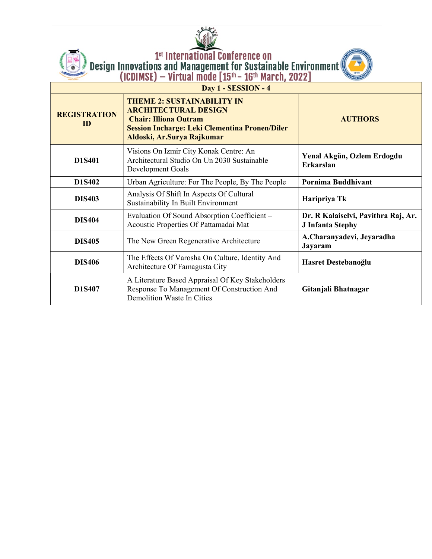

1<sup>st</sup> International Conference on<br>Design Innovations and Management for Sustainable Environment (ICDIMSE) – Virtual mode [15<sup>th</sup> – 16<sup>th</sup> March, 2022]



J Infanta Stephy

Hasret Destebanoğlu

Gitanjali Bhatnagar

Jayaram

A.Charanyadevi, Jeyaradha

| Day 1 - SESSION - 4       |                                                                                                                                                                                         |                                         |
|---------------------------|-----------------------------------------------------------------------------------------------------------------------------------------------------------------------------------------|-----------------------------------------|
| <b>REGISTRATION</b><br>ID | <b>THEME 2: SUSTAINABILITY IN</b><br><b>ARCHITECTURAL DESIGN</b><br><b>Chair: Illiona Outram</b><br><b>Session Incharge: Leki Clementina Pronen/Diler</b><br>Aldoski, Ar.Surya Rajkumar | <b>AUTHORS</b>                          |
| D1S401                    | Visions On Izmir City Konak Centre: An<br>Architectural Studio On Un 2030 Sustainable<br>Development Goals                                                                              | Yenal Akgün, Ozlem Erdogdu<br>Erkarslan |
| <b>D1S402</b>             | Urban Agriculture: For The People, By The People                                                                                                                                        | Pornima Buddhivant                      |
| <b>DIS403</b>             | Analysis Of Shift In Aspects Of Cultural<br>Sustainability In Built Environment                                                                                                         | Haripriya Tk                            |
| DIC 104                   | Evaluation Of Sound Absorption Coefficient -                                                                                                                                            | Dr. R Kalaiselvi, Pavithra Raj, Ar.     |

The Effects Of Varosha On Culture, Identity And

A Literature Based Appraisal Of Key Stakeholders Response To Management Of Construction And

Acoustic Properties Of Pattamadai Mat

Architecture Of Famagusta City

Demolition Waste In Cities

The New Green Regenerative Architecture

**DIS404** 

**DIS405** 

**DIS406** 

**D1S407**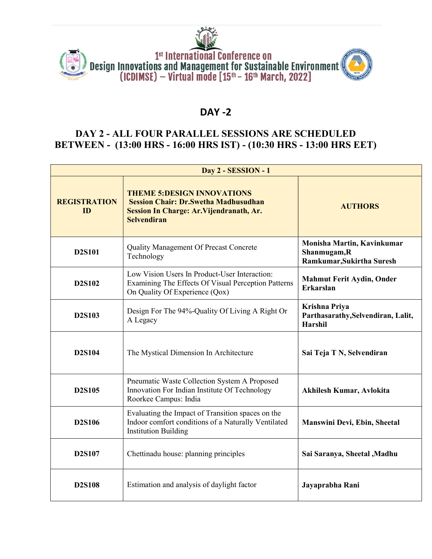

#### DAY -2

#### DAY 2 - ALL FOUR PARALLEL SESSIONS ARE SCHEDULED BETWEEN - (13:00 HRS - 16:00 HRS IST) - (10:30 HRS - 13:00 HRS EET)

| Day 2 - SESSION - 1       |                                                                                                                                                     |                                                                         |
|---------------------------|-----------------------------------------------------------------------------------------------------------------------------------------------------|-------------------------------------------------------------------------|
| <b>REGISTRATION</b><br>ID | <b>THEME 5:DESIGN INNOVATIONS</b><br><b>Session Chair: Dr. Swetha Madhusudhan</b><br>Session In Charge: Ar. Vijendranath, Ar.<br><b>Selvendiran</b> | <b>AUTHORS</b>                                                          |
| <b>D2S101</b>             | Quality Management Of Precast Concrete<br>Technology                                                                                                | Monisha Martin, Kavinkumar<br>Shanmugam, R<br>Ramkumar, Sukirtha Suresh |
| D2S102                    | Low Vision Users In Product-User Interaction:<br>Examining The Effects Of Visual Perception Patterns<br>On Quality Of Experience (Qox)              | Mahmut Ferit Aydin, Onder<br><b>Erkarslan</b>                           |
| D2S103                    | Design For The 94%-Quality Of Living A Right Or<br>A Legacy                                                                                         | Krishna Priya<br>Parthasarathy, Selvendiran, Lalit,<br><b>Harshil</b>   |
| <b>D2S104</b>             | The Mystical Dimension In Architecture                                                                                                              | Sai Teja T N, Selvendiran                                               |
| <b>D2S105</b>             | Pneumatic Waste Collection System A Proposed<br>Innovation For Indian Institute Of Technology<br>Roorkee Campus: India                              | Akhilesh Kumar, Avlokita                                                |
| D2S106                    | Evaluating the Impact of Transition spaces on the<br>Indoor comfort conditions of a Naturally Ventilated<br><b>Institution Building</b>             | <b>Manswini Devi, Ebin, Sheetal</b>                                     |
| <b>D2S107</b>             | Chettinadu house: planning principles                                                                                                               | Sai Saranya, Sheetal , Madhu                                            |
| <b>D2S108</b>             | Estimation and analysis of daylight factor                                                                                                          | Jayaprabha Rani                                                         |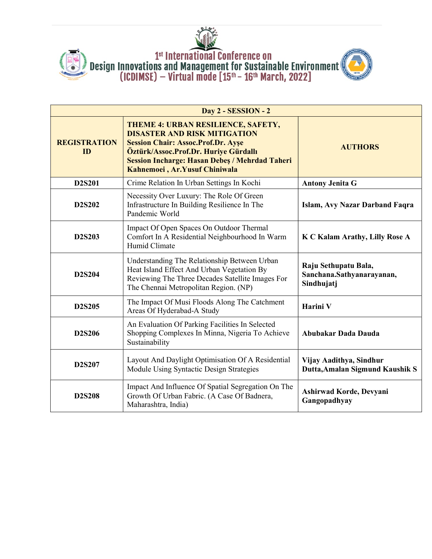

# **1st International Conference on**<br>Design Innovations and Management for Sustainable Environment (ICDIMSE) – Virtual mode [15<sup>th</sup> – 16<sup>th</sup> March, 2022]



| Day 2 - SESSION - 2       |                                                                                                                                                                                                                                                           |                                                                 |
|---------------------------|-----------------------------------------------------------------------------------------------------------------------------------------------------------------------------------------------------------------------------------------------------------|-----------------------------------------------------------------|
| <b>REGISTRATION</b><br>ID | THEME 4: URBAN RESILIENCE, SAFETY,<br><b>DISASTER AND RISK MITIGATION</b><br><b>Session Chair: Assoc.Prof.Dr. Ayse</b><br>Öztürk/Assoc.Prof.Dr. Huriye Gürdallı<br><b>Session Incharge: Hasan Debes / Mehrdad Taheri</b><br>Kahnemoei, Ar.Yusuf Chiniwala | <b>AUTHORS</b>                                                  |
| D2S201                    | Crime Relation In Urban Settings In Kochi                                                                                                                                                                                                                 | <b>Antony Jenita G</b>                                          |
| D2S202                    | Necessity Over Luxury: The Role Of Green<br>Infrastructure In Building Resilience In The<br>Pandemic World                                                                                                                                                | Islam, Avy Nazar Darband Faqra                                  |
| D2S203                    | Impact Of Open Spaces On Outdoor Thermal<br>Comfort In A Residential Neighbourhood In Warm<br>Humid Climate                                                                                                                                               | K C Kalam Arathy, Lilly Rose A                                  |
| <b>D2S204</b>             | Understanding The Relationship Between Urban<br>Heat Island Effect And Urban Vegetation By<br>Reviewing The Three Decades Satellite Images For<br>The Chennai Metropolitan Region. (NP)                                                                   | Raju Sethupatu Bala,<br>Sanchana.Sathyanarayanan,<br>Sindhujatj |
| D2S205                    | The Impact Of Musi Floods Along The Catchment<br>Areas Of Hyderabad-A Study                                                                                                                                                                               | Harini V                                                        |
| D2S206                    | An Evaluation Of Parking Facilities In Selected<br>Shopping Complexes In Minna, Nigeria To Achieve<br>Sustainability                                                                                                                                      | Abubakar Dada Dauda                                             |
| D2S207                    | Layout And Daylight Optimisation Of A Residential<br>Module Using Syntactic Design Strategies                                                                                                                                                             | Vijay Aadithya, Sindhur<br>Dutta, Amalan Sigmund Kaushik S      |
| <b>D2S208</b>             | Impact And Influence Of Spatial Segregation On The<br>Growth Of Urban Fabric. (A Case Of Badnera,<br>Maharashtra, India)                                                                                                                                  | Ashirwad Korde, Devyani<br>Gangopadhyay                         |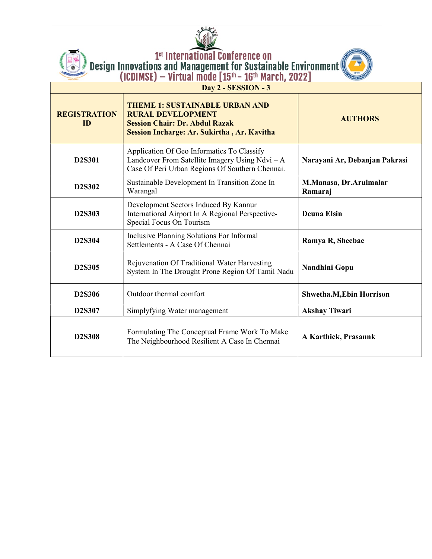

 $\begin{pmatrix} \mathbf{E} \ \mathbf{S} \ \mathbf{S} \end{pmatrix}$ 



Design Innovations and Management for Sustainable Environment<br>(ICDIMSE) – Virtual mode [15<sup>th</sup> – 16<sup>th</sup> March, 2022]<br>Day 2 - SESSION - 3

| <b>REGISTRATION</b><br>ID | <b>THEME 1: SUSTAINABLE URBAN AND</b><br><b>RURAL DEVELOPMENT</b><br><b>Session Chair: Dr. Abdul Razak</b><br>Session Incharge: Ar. Sukirtha, Ar. Kavitha | <b>AUTHORS</b>                    |
|---------------------------|-----------------------------------------------------------------------------------------------------------------------------------------------------------|-----------------------------------|
| D2S301                    | Application Of Geo Informatics To Classify<br>Landcover From Satellite Imagery Using Ndvi - A<br>Case Of Peri Urban Regions Of Southern Chennai.          | Narayani Ar, Debanjan Pakrasi     |
| D2S302                    | Sustainable Development In Transition Zone In<br>Warangal                                                                                                 | M.Manasa, Dr.Arulmalar<br>Ramaraj |
| D2S303                    | Development Sectors Induced By Kannur<br>International Airport In A Regional Perspective-<br>Special Focus On Tourism                                     | <b>Deuna Elsin</b>                |
| D2S304                    | Inclusive Planning Solutions For Informal<br>Settlements - A Case Of Chennai                                                                              | Ramya R, Sheebac                  |
| D2S305                    | Rejuvenation Of Traditional Water Harvesting<br>System In The Drought Prone Region Of Tamil Nadu                                                          | Nandhini Gopu                     |
| D2S306                    | Outdoor thermal comfort                                                                                                                                   | Shwetha.M, Ebin Horrison          |
| D2S307                    | Simplyfying Water management                                                                                                                              | <b>Akshay Tiwari</b>              |
| <b>D2S308</b>             | Formulating The Conceptual Frame Work To Make<br>The Neighbourhood Resilient A Case In Chennai                                                            | <b>A Karthick, Prasannk</b>       |